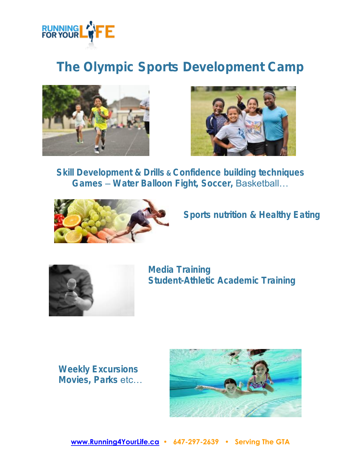

## The Olympic Sports Development Camp





Skill Development & Drills & Confidence building techniques Games – Water Balloon Fight, Soccer, Basketball…



Sports nutrition & Healthy Eating



Media Training Student-Athletic Academic Training

Weekly Excursions Movies, Parks etc...

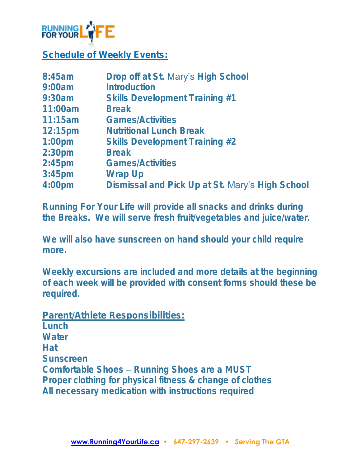

Schedule of Weekly Events:

| 8:45am             | Drop off at St. Mary's High School              |
|--------------------|-------------------------------------------------|
| 9:00am             | Introduction                                    |
| 9:30am             | Skills Development Training #1                  |
| 11:00am            | <b>Break</b>                                    |
| 11:15am            | <b>Games/Activities</b>                         |
| $12:15 \text{pm}$  | <b>Nutritional Lunch Break</b>                  |
| $1:00$ pm          | Skills Development Training #2                  |
| 2:30 <sub>pm</sub> | <b>Break</b>                                    |
| $2:45$ pm          | <b>Games/Activities</b>                         |
| $3:45$ pm          | Wrap Up                                         |
| 4:00 <sub>pm</sub> | Dismissal and Pick Up at St. Mary's High School |

Running For Your Life will provide all snacks and drinks during the Breaks. We will serve fresh fruit/vegetables and juice/water.

We will also have sunscreen on hand should your child require more.

Weekly excursions are included and more details at the beginning of each week will be provided with consent forms should these be required.

Parent/Athlete Responsibilities:

**Lunch Water Hat** Sunscreen Comfortable Shoes – Running Shoes are a MUST Proper clothing for physical fitness & change of clothes All necessary medication with instructions required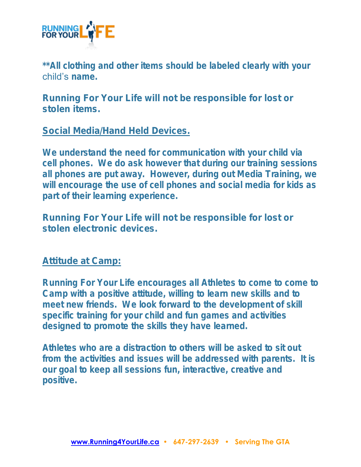

\*\*All clothing and other items should be labeled clearly with your child's name.

Running For Your Life will not be responsible for lost or stolen items.

Social Media/Hand Held Devices.

We understand the need for communication with your child via cell phones. We do ask however that during our training sessions all phones are put away. However, during out Media Training, we will encourage the use of cell phones and social media for kids as part of their learning experience.

Running For Your Life will not be responsible for lost or stolen electronic devices.

## Attitude at Camp:

Running For Your Life encourages all Athletes to come to come to Camp with a positive attitude, willing to learn new skills and to meet new friends. We look forward to the development of skill specific training for your child and fun games and activities designed to promote the skills they have learned.

Athletes who are a distraction to others will be asked to sit out from the activities and issues will be addressed with parents. It is our goal to keep all sessions fun, interactive, creative and positive.